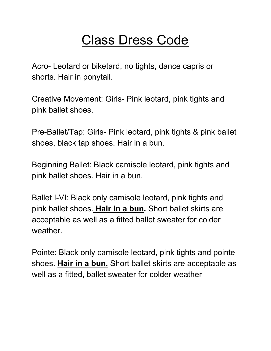## Class Dress Code

Acro- Leotard or biketard, no tights, dance capris or shorts. Hair in ponytail.

Creative Movement: Girls- Pink leotard, pink tights and pink ballet shoes.

Pre-Ballet/Tap: Girls- Pink leotard, pink tights & pink ballet shoes, black tap shoes. Hair in a bun.

Beginning Ballet: Black camisole leotard, pink tights and pink ballet shoes. Hair in a bun.

Ballet I-VI: Black only camisole leotard, pink tights and pink ballet shoes. **Hair in a bun.** Short ballet skirts are acceptable as well as a fitted ballet sweater for colder weather.

Pointe: Black only camisole leotard, pink tights and pointe shoes. **Hair in a bun.** Short ballet skirts are acceptable as well as a fitted, ballet sweater for colder weather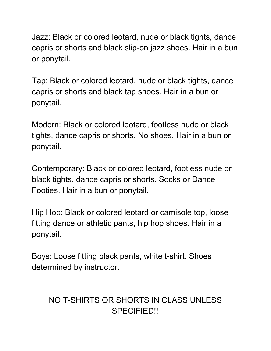Jazz: Black or colored leotard, nude or black tights, dance capris or shorts and black slip-on jazz shoes. Hair in a bun or ponytail.

Tap: Black or colored leotard, nude or black tights, dance capris or shorts and black tap shoes. Hair in a bun or ponytail.

Modern: Black or colored leotard, footless nude or black tights, dance capris or shorts. No shoes. Hair in a bun or ponytail.

Contemporary: Black or colored leotard, footless nude or black tights, dance capris or shorts. Socks or Dance Footies. Hair in a bun or ponytail.

Hip Hop: Black or colored leotard or camisole top, loose fitting dance or athletic pants, hip hop shoes. Hair in a ponytail.

Boys: Loose fitting black pants, white t-shirt. Shoes determined by instructor.

## NO T-SHIRTS OR SHORTS IN CLASS UNLESS SPECIFIED!!